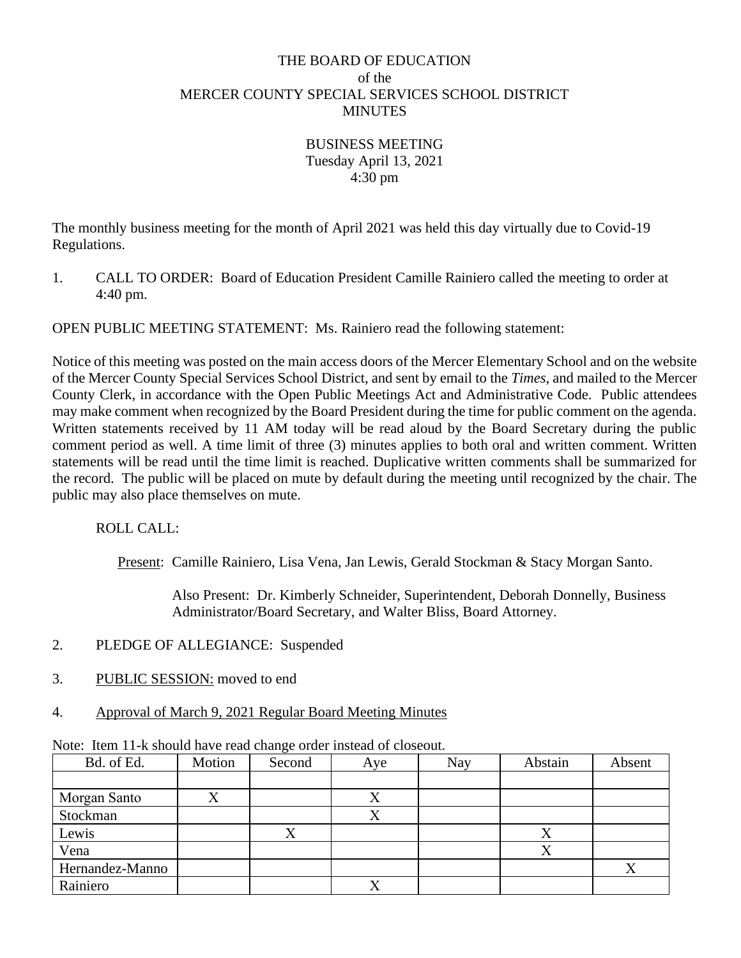### THE BOARD OF EDUCATION of the MERCER COUNTY SPECIAL SERVICES SCHOOL DISTRICT **MINUTES**

BUSINESS MEETING Tuesday April 13, 2021 4:30 pm

The monthly business meeting for the month of April 2021 was held this day virtually due to Covid-19 Regulations.

1. CALL TO ORDER: Board of Education President Camille Rainiero called the meeting to order at 4:40 pm.

OPEN PUBLIC MEETING STATEMENT: Ms. Rainiero read the following statement:

Notice of this meeting was posted on the main access doors of the Mercer Elementary School and on the website of the Mercer County Special Services School District, and sent by email to the *Times*, and mailed to the Mercer County Clerk, in accordance with the Open Public Meetings Act and Administrative Code. Public attendees may make comment when recognized by the Board President during the time for public comment on the agenda. Written statements received by 11 AM today will be read aloud by the Board Secretary during the public comment period as well. A time limit of three (3) minutes applies to both oral and written comment. Written statements will be read until the time limit is reached. Duplicative written comments shall be summarized for the record. The public will be placed on mute by default during the meeting until recognized by the chair. The public may also place themselves on mute.

ROLL CALL:

Present: Camille Rainiero, Lisa Vena, Jan Lewis, Gerald Stockman & Stacy Morgan Santo.

Also Present: Dr. Kimberly Schneider, Superintendent, Deborah Donnelly, Business Administrator/Board Secretary, and Walter Bliss, Board Attorney.

- 2. PLEDGE OF ALLEGIANCE: Suspended
- 3. PUBLIC SESSION: moved to end
- 4. Approval of March 9, 2021 Regular Board Meeting Minutes

|                 |        | $\sqrt{2}$ |     |     |         |        |
|-----------------|--------|------------|-----|-----|---------|--------|
| Bd. of Ed.      | Motion | Second     | Aye | Nay | Abstain | Absent |
|                 |        |            |     |     |         |        |
| Morgan Santo    |        |            |     |     |         |        |
| Stockman        |        |            |     |     |         |        |
| Lewis           |        |            |     |     |         |        |
| Vena            |        |            |     |     | Х       |        |
| Hernandez-Manno |        |            |     |     |         |        |
| Rainiero        |        |            |     |     |         |        |

Note: Item 11-k should have read change order instead of closeout.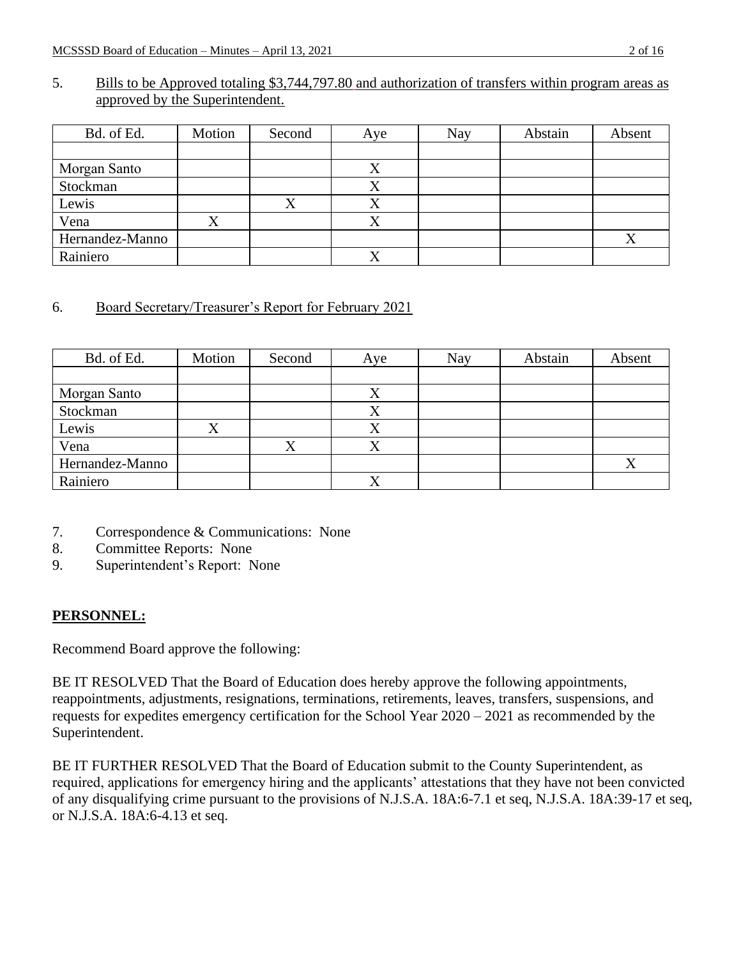#### 5. Bills to be Approved totaling \$3,744,797.80 and authorization of transfers within program areas as approved by the Superintendent.

| Bd. of Ed.      | Motion | Second | Aye       | Nay | Abstain | Absent |
|-----------------|--------|--------|-----------|-----|---------|--------|
|                 |        |        |           |     |         |        |
| Morgan Santo    |        |        | ∡         |     |         |        |
| Stockman        |        |        |           |     |         |        |
| Lewis           |        |        | $\Lambda$ |     |         |        |
| Vena            | л      |        | △         |     |         |        |
| Hernandez-Manno |        |        |           |     |         |        |
| Rainiero        |        |        |           |     |         |        |

## 6. Board Secretary/Treasurer's Report for February 2021

| Bd. of Ed.      | Motion | Second | Aye | Nay | Abstain | Absent |
|-----------------|--------|--------|-----|-----|---------|--------|
|                 |        |        |     |     |         |        |
| Morgan Santo    |        |        | Λ   |     |         |        |
| Stockman        |        |        |     |     |         |        |
| Lewis           |        |        |     |     |         |        |
| Vena            |        |        |     |     |         |        |
| Hernandez-Manno |        |        |     |     |         |        |
| Rainiero        |        |        | v   |     |         |        |

- 7. Correspondence & Communications: None
- 8. Committee Reports: None
- 9. Superintendent's Report: None

## **PERSONNEL:**

Recommend Board approve the following:

BE IT RESOLVED That the Board of Education does hereby approve the following appointments, reappointments, adjustments, resignations, terminations, retirements, leaves, transfers, suspensions, and requests for expedites emergency certification for the School Year 2020 – 2021 as recommended by the Superintendent.

BE IT FURTHER RESOLVED That the Board of Education submit to the County Superintendent, as required, applications for emergency hiring and the applicants' attestations that they have not been convicted of any disqualifying crime pursuant to the provisions of N.J.S.A. 18A:6-7.1 et seq, N.J.S.A. 18A:39-17 et seq, or N.J.S.A. 18A:6-4.13 et seq.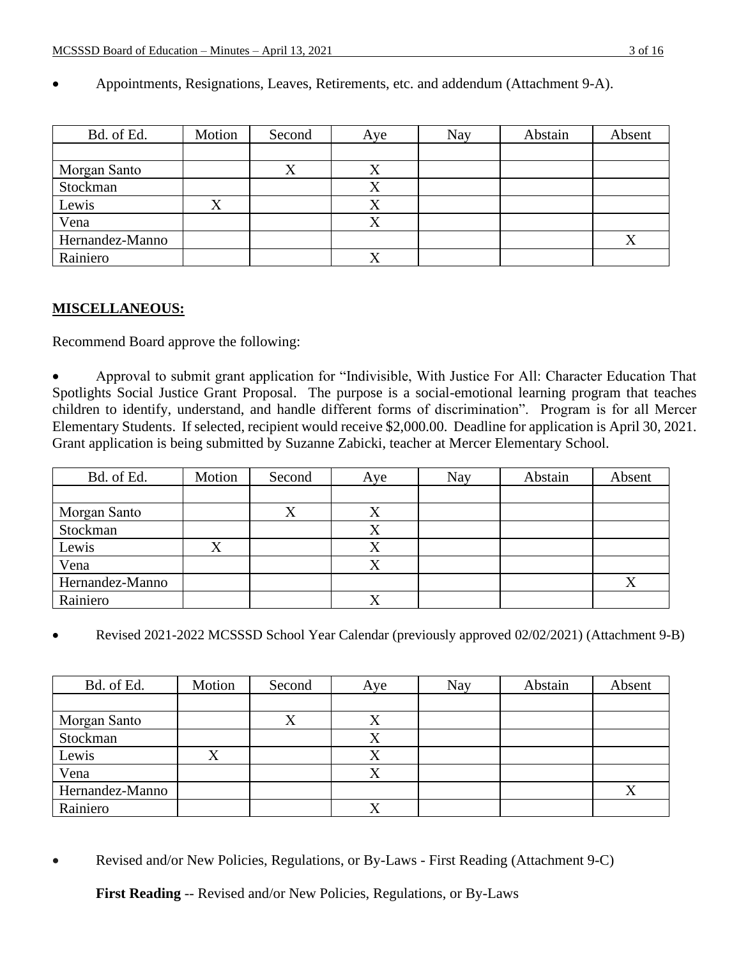| Bd. of Ed.      | Motion | Second | Aye       | <b>Nay</b> | Abstain | Absent    |
|-----------------|--------|--------|-----------|------------|---------|-----------|
|                 |        |        |           |            |         |           |
| Morgan Santo    |        |        | $\Lambda$ |            |         |           |
| Stockman        |        |        |           |            |         |           |
| Lewis           |        |        |           |            |         |           |
| Vena            |        |        |           |            |         |           |
| Hernandez-Manno |        |        |           |            |         | $\Lambda$ |
| Rainiero        |        |        |           |            |         |           |

• Appointments, Resignations, Leaves, Retirements, etc. and addendum (Attachment 9-A).

### **MISCELLANEOUS:**

Recommend Board approve the following:

• Approval to submit grant application for "Indivisible, With Justice For All: Character Education That Spotlights Social Justice Grant Proposal. The purpose is a social-emotional learning program that teaches children to identify, understand, and handle different forms of discrimination". Program is for all Mercer Elementary Students. If selected, recipient would receive \$2,000.00. Deadline for application is April 30, 2021. Grant application is being submitted by Suzanne Zabicki, teacher at Mercer Elementary School.

| Bd. of Ed.      | Motion | Second    | Aye       | Nay | Abstain | Absent |
|-----------------|--------|-----------|-----------|-----|---------|--------|
|                 |        |           |           |     |         |        |
| Morgan Santo    |        | $\Lambda$ | $\Lambda$ |     |         |        |
| Stockman        |        |           |           |     |         |        |
| Lewis           | л      |           |           |     |         |        |
| Vena            |        |           |           |     |         |        |
| Hernandez-Manno |        |           |           |     |         |        |
| Rainiero        |        |           |           |     |         |        |

• Revised 2021-2022 MCSSSD School Year Calendar (previously approved 02/02/2021) (Attachment 9-B)

| Bd. of Ed.      | Motion | Second | Aye | Nay | Abstain | Absent |
|-----------------|--------|--------|-----|-----|---------|--------|
|                 |        |        |     |     |         |        |
| Morgan Santo    |        |        |     |     |         |        |
| Stockman        |        |        |     |     |         |        |
| Lewis           |        |        |     |     |         |        |
| Vena            |        |        | Δ   |     |         |        |
| Hernandez-Manno |        |        |     |     |         |        |
| Rainiero        |        |        |     |     |         |        |

• Revised and/or New Policies, Regulations, or By-Laws - First Reading (Attachment 9-C)

**First Reading** -- Revised and/or New Policies, Regulations, or By-Laws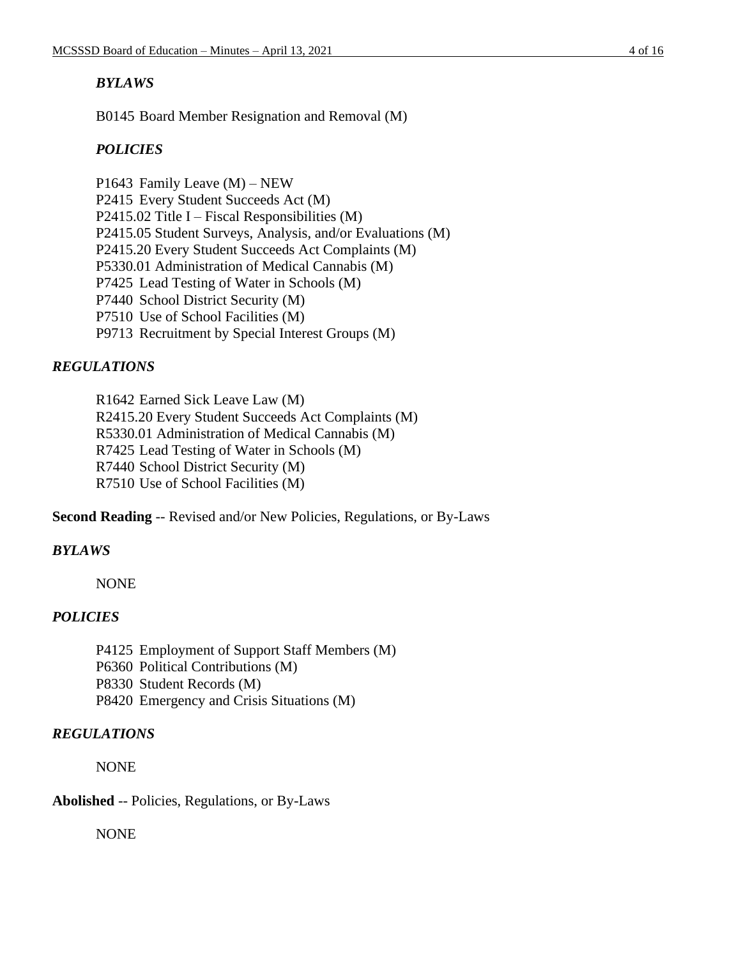### *BYLAWS*

B0145 Board Member Resignation and Removal (M)

# *POLICIES*

P1643 Family Leave (M) – NEW P2415 Every Student Succeeds Act (M) P2415.02 Title I – Fiscal Responsibilities  $(M)$ P2415.05 Student Surveys, Analysis, and/or Evaluations (M) P2415.20 Every Student Succeeds Act Complaints (M) P5330.01 Administration of Medical Cannabis (M) P7425 Lead Testing of Water in Schools (M) P7440 School District Security (M) P7510 Use of School Facilities (M) P9713 Recruitment by Special Interest Groups (M)

# *REGULATIONS*

R1642 Earned Sick Leave Law (M) R2415.20 Every Student Succeeds Act Complaints (M) R5330.01 Administration of Medical Cannabis (M) R7425 Lead Testing of Water in Schools (M) R7440 School District Security (M) R7510 Use of School Facilities (M)

**Second Reading** -- Revised and/or New Policies, Regulations, or By-Laws

## *BYLAWS*

NONE

## *POLICIES*

- P4125 Employment of Support Staff Members (M)
- P6360 Political Contributions (M)
- P8330 Student Records (M)
- P8420 Emergency and Crisis Situations (M)

## *REGULATIONS*

NONE

## **Abolished** -- Policies, Regulations, or By-Laws

NONE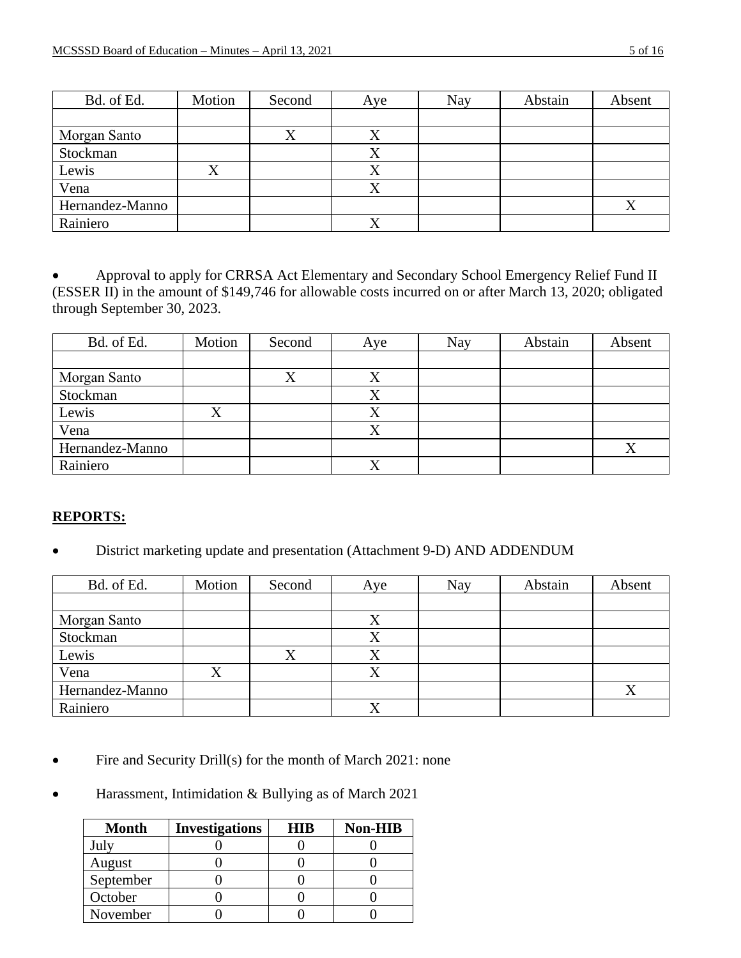| Bd. of Ed.      | Motion | Second | Aye | <b>Nay</b> | Abstain | Absent |
|-----------------|--------|--------|-----|------------|---------|--------|
|                 |        |        |     |            |         |        |
| Morgan Santo    |        |        |     |            |         |        |
| Stockman        |        |        |     |            |         |        |
| Lewis           |        |        |     |            |         |        |
| Vena            |        |        |     |            |         |        |
| Hernandez-Manno |        |        |     |            |         |        |
| Rainiero        |        |        |     |            |         |        |

• Approval to apply for CRRSA Act Elementary and Secondary School Emergency Relief Fund II (ESSER II) in the amount of \$149,746 for allowable costs incurred on or after March 13, 2020; obligated through September 30, 2023.

| Bd. of Ed.      | Motion | Second | Aye         | <b>Nay</b> | Abstain | Absent |
|-----------------|--------|--------|-------------|------------|---------|--------|
|                 |        |        |             |            |         |        |
| Morgan Santo    |        | Δ      | $\Lambda$   |            |         |        |
| Stockman        |        |        | Λ           |            |         |        |
| Lewis           | Λ      |        | Λ           |            |         |        |
| Vena            |        |        |             |            |         |        |
| Hernandez-Manno |        |        |             |            |         | Χ      |
| Rainiero        |        |        | $\mathbf v$ |            |         |        |

#### **REPORTS:**

• District marketing update and presentation (Attachment 9-D) AND ADDENDUM

| Bd. of Ed.      | Motion | Second | Aye       | Nay | Abstain | Absent |
|-----------------|--------|--------|-----------|-----|---------|--------|
|                 |        |        |           |     |         |        |
| Morgan Santo    |        |        |           |     |         |        |
| Stockman        |        |        |           |     |         |        |
| Lewis           |        | л      | $\Lambda$ |     |         |        |
| Vena            |        |        |           |     |         |        |
| Hernandez-Manno |        |        |           |     |         |        |
| Rainiero        |        |        |           |     |         |        |

- Fire and Security Drill(s) for the month of March 2021: none
- Harassment, Intimidation & Bullying as of March 2021

| <b>Month</b>     | <b>Investigations</b> | <b>HIR</b> | Non-HIB |
|------------------|-----------------------|------------|---------|
| $_{\text{Julv}}$ |                       |            |         |
| August           |                       |            |         |
| September        |                       |            |         |
| October          |                       |            |         |
| November         |                       |            |         |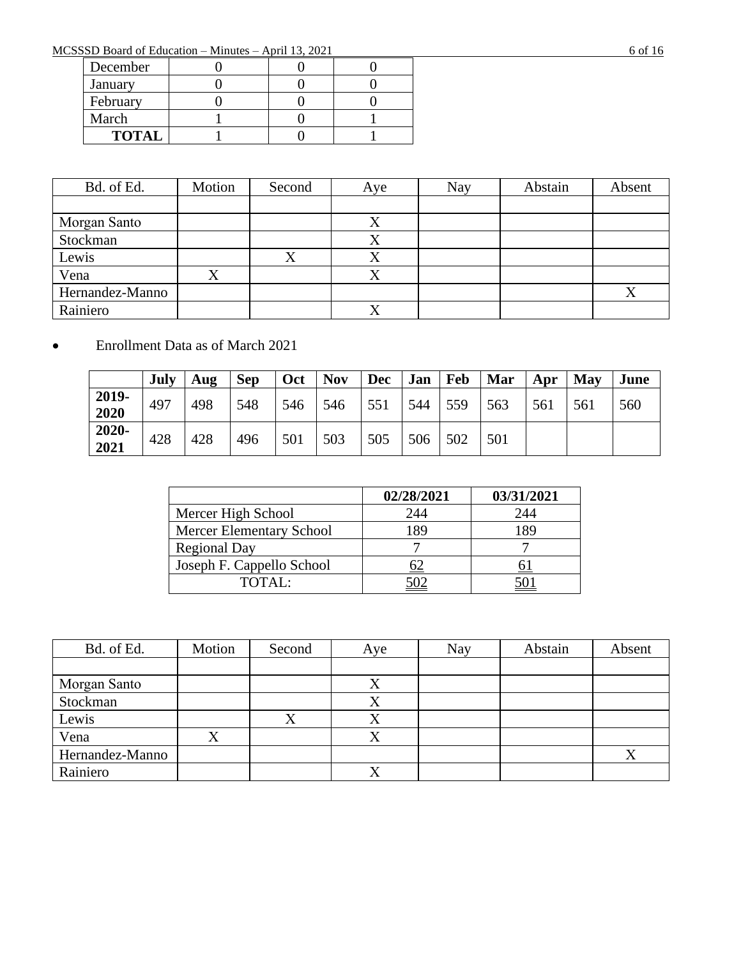MCSSSD Board of Education – Minutes – April 13, 2021 6 of 16

| December     |  |  |
|--------------|--|--|
| January      |  |  |
| February     |  |  |
| March        |  |  |
| <b>TOTAL</b> |  |  |

| Bd. of Ed.      | Motion | Second    | Aye          | Nay | Abstain | Absent |
|-----------------|--------|-----------|--------------|-----|---------|--------|
|                 |        |           |              |     |         |        |
| Morgan Santo    |        |           |              |     |         |        |
| Stockman        |        |           |              |     |         |        |
| Lewis           |        | $\Lambda$ | $\Lambda$    |     |         |        |
| Vena            |        |           |              |     |         |        |
| Hernandez-Manno |        |           |              |     |         |        |
| Rainiero        |        |           | $\mathbf{x}$ |     |         |        |

# • Enrollment Data as of March 2021

|               | July | Aug | <b>Sep</b> | Oct | <b>Nov</b> | <b>Dec</b> | Jan | <b>Feb</b> | Mar | Apr | May | June |
|---------------|------|-----|------------|-----|------------|------------|-----|------------|-----|-----|-----|------|
| 2019-<br>2020 | 497  | 498 | 548        | 546 | 546        | 551        | 544 | 559        | 563 | 561 | 561 | 560  |
| 2020-<br>2021 | 428  | 428 | 496        | 501 | 503        | 505        | 506 | 502        | 501 |     |     |      |

|                                 | 02/28/2021 | 03/31/2021 |
|---------------------------------|------------|------------|
| Mercer High School              | 244        | 244        |
| <b>Mercer Elementary School</b> |            | 1 RG       |
| <b>Regional Day</b>             |            |            |
| Joseph F. Cappello School       |            |            |
| TOTAL:                          |            |            |

| Bd. of Ed.      | Motion | Second | Aye | <b>Nay</b> | Abstain | Absent |
|-----------------|--------|--------|-----|------------|---------|--------|
|                 |        |        |     |            |         |        |
| Morgan Santo    |        |        | Λ   |            |         |        |
| Stockman        |        |        | △   |            |         |        |
| Lewis           |        |        |     |            |         |        |
| Vena            |        |        |     |            |         |        |
| Hernandez-Manno |        |        |     |            |         |        |
| Rainiero        |        |        | △   |            |         |        |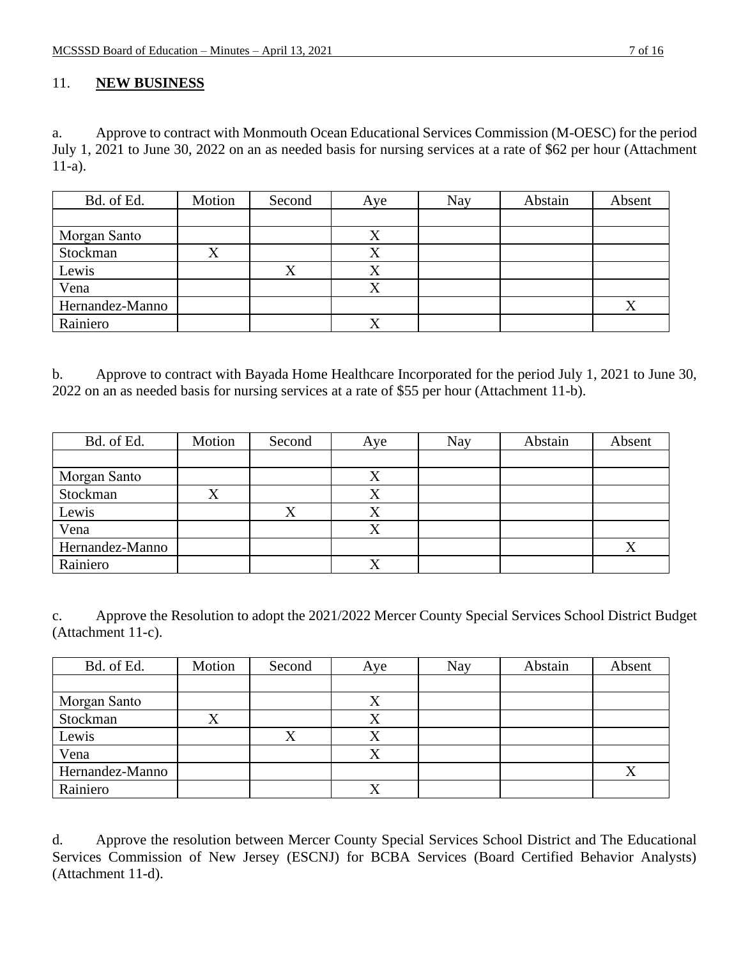#### 11. **NEW BUSINESS**

a. Approve to contract with Monmouth Ocean Educational Services Commission (M-OESC) for the period July 1, 2021 to June 30, 2022 on an as needed basis for nursing services at a rate of \$62 per hour (Attachment 11-a).

| Bd. of Ed.      | Motion | Second | Aye       | Nay | Abstain | Absent |
|-----------------|--------|--------|-----------|-----|---------|--------|
|                 |        |        |           |     |         |        |
| Morgan Santo    |        |        | Х         |     |         |        |
| Stockman        |        |        |           |     |         |        |
| Lewis           |        |        | $\Lambda$ |     |         |        |
| Vena            |        |        | X         |     |         |        |
| Hernandez-Manno |        |        |           |     |         | Δ      |
| Rainiero        |        |        |           |     |         |        |

b. Approve to contract with Bayada Home Healthcare Incorporated for the period July 1, 2021 to June 30, 2022 on an as needed basis for nursing services at a rate of \$55 per hour (Attachment 11-b).

| Bd. of Ed.      | Motion | Second | Aye | Nay | Abstain | Absent |
|-----------------|--------|--------|-----|-----|---------|--------|
|                 |        |        |     |     |         |        |
| Morgan Santo    |        |        |     |     |         |        |
| Stockman        |        |        |     |     |         |        |
| Lewis           |        |        |     |     |         |        |
| Vena            |        |        |     |     |         |        |
| Hernandez-Manno |        |        |     |     |         |        |
| Rainiero        |        |        |     |     |         |        |

c. Approve the Resolution to adopt the 2021/2022 Mercer County Special Services School District Budget (Attachment 11-c).

| Bd. of Ed.      | Motion | Second | Aye | Nay | Abstain | Absent |
|-----------------|--------|--------|-----|-----|---------|--------|
|                 |        |        |     |     |         |        |
| Morgan Santo    |        |        |     |     |         |        |
| Stockman        |        |        |     |     |         |        |
| Lewis           |        |        |     |     |         |        |
| Vena            |        |        |     |     |         |        |
| Hernandez-Manno |        |        |     |     |         |        |
| Rainiero        |        |        |     |     |         |        |

d. Approve the resolution between Mercer County Special Services School District and The Educational Services Commission of New Jersey (ESCNJ) for BCBA Services (Board Certified Behavior Analysts) (Attachment 11-d).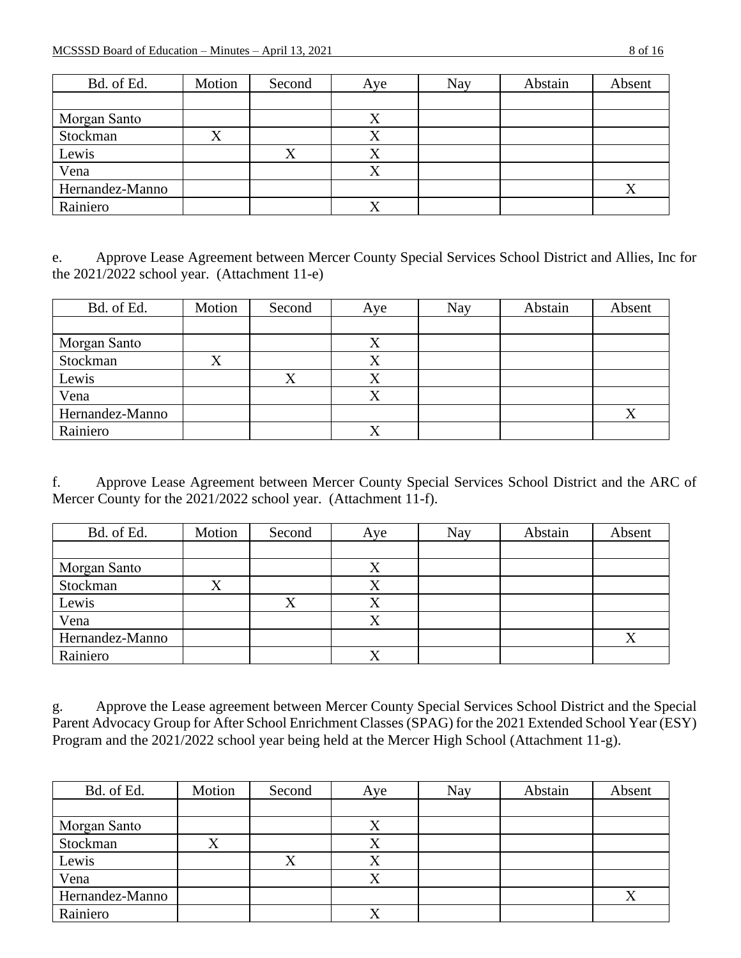| Bd. of Ed.      | Motion | Second | Aye       | Nay | Abstain | Absent |
|-----------------|--------|--------|-----------|-----|---------|--------|
|                 |        |        |           |     |         |        |
| Morgan Santo    |        |        | $\Lambda$ |     |         |        |
| Stockman        |        |        |           |     |         |        |
| Lewis           |        |        | $\Lambda$ |     |         |        |
| Vena            |        |        |           |     |         |        |
| Hernandez-Manno |        |        |           |     |         | Χ      |
| Rainiero        |        |        |           |     |         |        |

e. Approve Lease Agreement between Mercer County Special Services School District and Allies, Inc for the 2021/2022 school year. (Attachment 11-e)

| Bd. of Ed.      | Motion | Second | Aye       | Nay | Abstain | Absent |
|-----------------|--------|--------|-----------|-----|---------|--------|
|                 |        |        |           |     |         |        |
| Morgan Santo    |        |        |           |     |         |        |
| Stockman        | л      |        |           |     |         |        |
| Lewis           |        |        | $\Lambda$ |     |         |        |
| Vena            |        |        |           |     |         |        |
| Hernandez-Manno |        |        |           |     |         | л      |
| Rainiero        |        |        |           |     |         |        |

f. Approve Lease Agreement between Mercer County Special Services School District and the ARC of Mercer County for the 2021/2022 school year. (Attachment 11-f).

| Bd. of Ed.      | Motion    | Second    | Aye | <b>Nay</b> | Abstain | Absent |
|-----------------|-----------|-----------|-----|------------|---------|--------|
|                 |           |           |     |            |         |        |
| Morgan Santo    |           |           | v   |            |         |        |
| Stockman        | $\Lambda$ |           | Λ   |            |         |        |
| Lewis           |           | $\Lambda$ | △   |            |         |        |
| Vena            |           |           |     |            |         |        |
| Hernandez-Manno |           |           |     |            |         |        |
| Rainiero        |           |           | Λ   |            |         |        |

g. Approve the Lease agreement between Mercer County Special Services School District and the Special Parent Advocacy Group for After School Enrichment Classes (SPAG) for the 2021 Extended School Year (ESY) Program and the 2021/2022 school year being held at the Mercer High School (Attachment 11-g).

| Bd. of Ed.      | Motion | Second    | Aye       | Nay | Abstain | Absent |
|-----------------|--------|-----------|-----------|-----|---------|--------|
|                 |        |           |           |     |         |        |
| Morgan Santo    |        |           |           |     |         |        |
| Stockman        |        |           |           |     |         |        |
| Lewis           |        | $\Lambda$ | $\Lambda$ |     |         |        |
| Vena            |        |           |           |     |         |        |
| Hernandez-Manno |        |           |           |     |         |        |
| Rainiero        |        |           |           |     |         |        |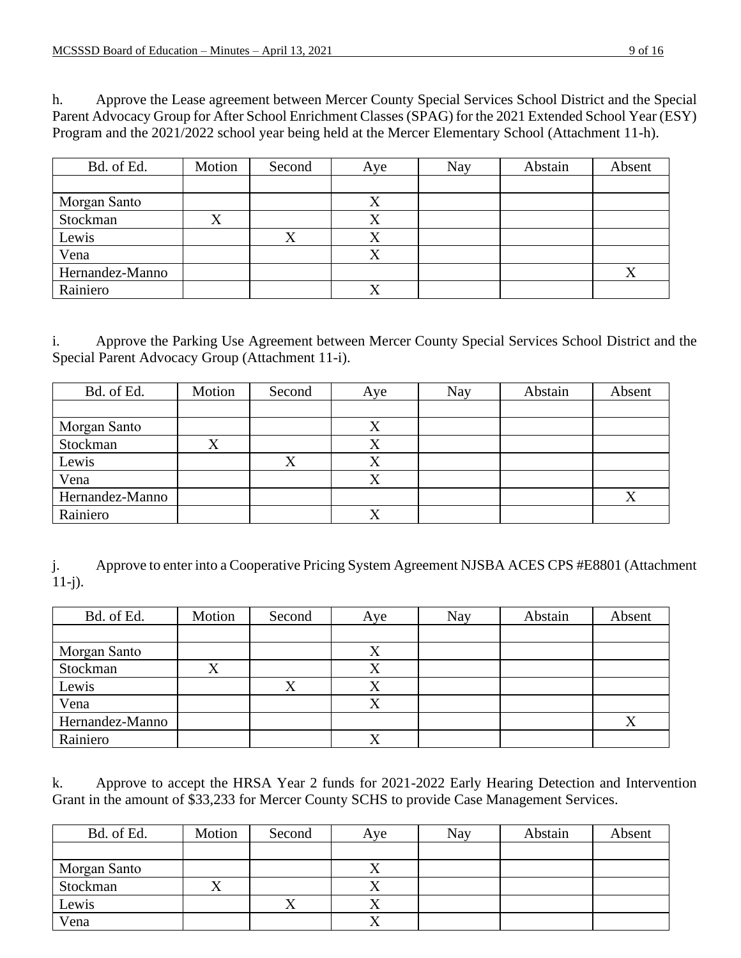h. Approve the Lease agreement between Mercer County Special Services School District and the Special Parent Advocacy Group for After School Enrichment Classes (SPAG) for the 2021 Extended School Year (ESY) Program and the 2021/2022 school year being held at the Mercer Elementary School (Attachment 11-h).

| Bd. of Ed.      | Motion | Second | Aye | Nay | Abstain | Absent    |
|-----------------|--------|--------|-----|-----|---------|-----------|
|                 |        |        |     |     |         |           |
| Morgan Santo    |        |        | Λ   |     |         |           |
| Stockman        |        |        |     |     |         |           |
| Lewis           |        |        | Λ   |     |         |           |
| Vena            |        |        | Λ   |     |         |           |
| Hernandez-Manno |        |        |     |     |         | $\Lambda$ |
| Rainiero        |        |        |     |     |         |           |

i. Approve the Parking Use Agreement between Mercer County Special Services School District and the Special Parent Advocacy Group (Attachment 11-i).

| Bd. of Ed.      | Motion | Second | Aye       | Nay | Abstain | Absent |
|-----------------|--------|--------|-----------|-----|---------|--------|
|                 |        |        |           |     |         |        |
| Morgan Santo    |        |        |           |     |         |        |
| Stockman        |        |        | △         |     |         |        |
| Lewis           |        | Λ      | $\Lambda$ |     |         |        |
| Vena            |        |        |           |     |         |        |
| Hernandez-Manno |        |        |           |     |         | X      |
| Rainiero        |        |        | v         |     |         |        |

j. Approve to enter into a Cooperative Pricing System Agreement NJSBA ACES CPS #E8801 (Attachment 11-j).

| Bd. of Ed.      | Motion | Second | Aye       | Nay | Abstain | Absent |
|-----------------|--------|--------|-----------|-----|---------|--------|
|                 |        |        |           |     |         |        |
| Morgan Santo    |        |        | Λ         |     |         |        |
| Stockman        |        |        |           |     |         |        |
| Lewis           |        |        | $\Lambda$ |     |         |        |
| Vena            |        |        | Λ         |     |         |        |
| Hernandez-Manno |        |        |           |     |         |        |
| Rainiero        |        |        |           |     |         |        |

k. Approve to accept the HRSA Year 2 funds for 2021-2022 Early Hearing Detection and Intervention Grant in the amount of \$33,233 for Mercer County SCHS to provide Case Management Services.

| Bd. of Ed.   | Motion | Second | Aye | <b>Nay</b> | Abstain | Absent |
|--------------|--------|--------|-----|------------|---------|--------|
|              |        |        |     |            |         |        |
| Morgan Santo |        |        |     |            |         |        |
| Stockman     | ↗      |        |     |            |         |        |
| Lewis        |        |        |     |            |         |        |
| Vena         |        |        |     |            |         |        |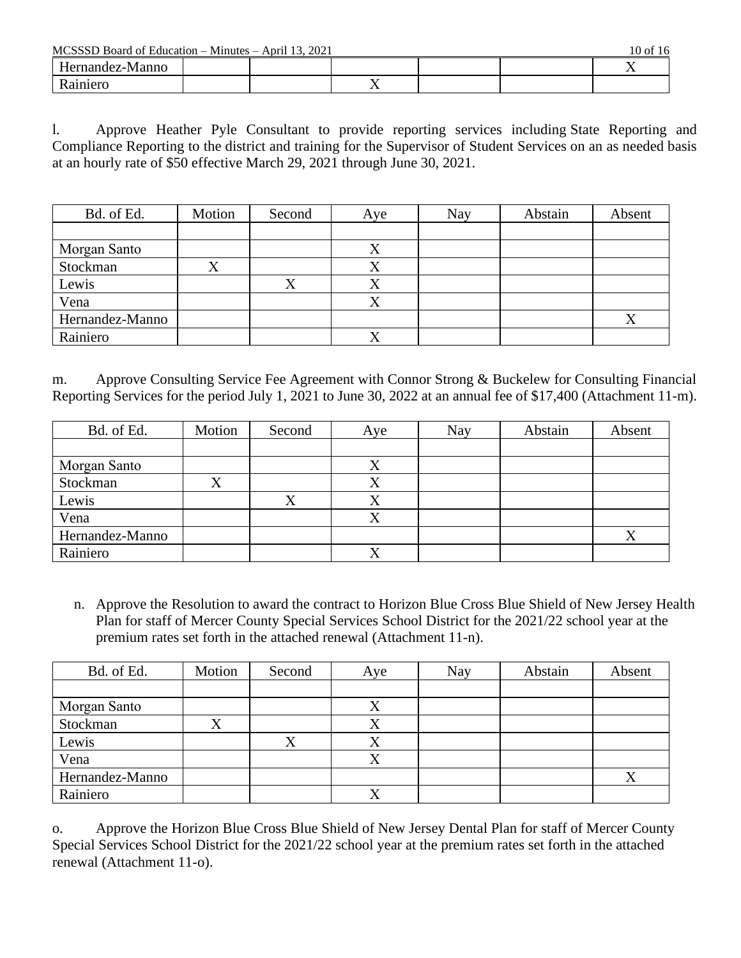$MCSSD$  Board of Education – Minutes – April 13, 2021 10 of 16

| wichood Doard of Laacadon<br>-----------<br>111111170171<br>1001 10 |  |  |     |  |  |     |
|---------------------------------------------------------------------|--|--|-----|--|--|-----|
| Hernandez-Manno                                                     |  |  |     |  |  | . . |
| iniero                                                              |  |  | . . |  |  |     |

l. Approve Heather Pyle Consultant to provide reporting services including State Reporting and Compliance Reporting to the district and training for the Supervisor of Student Services on an as needed basis at an hourly rate of \$50 effective March 29, 2021 through June 30, 2021.

| Bd. of Ed.      | Motion    | Second | Aye         | Nay | Abstain | Absent |
|-----------------|-----------|--------|-------------|-----|---------|--------|
|                 |           |        |             |     |         |        |
| Morgan Santo    |           |        | Λ           |     |         |        |
| Stockman        | $\Lambda$ |        | Λ           |     |         |        |
| Lewis           |           |        | л           |     |         |        |
| Vena            |           |        | $\mathbf v$ |     |         |        |
| Hernandez-Manno |           |        |             |     |         |        |
| Rainiero        |           |        |             |     |         |        |

m. Approve Consulting Service Fee Agreement with Connor Strong & Buckelew for Consulting Financial Reporting Services for the period July 1, 2021 to June 30, 2022 at an annual fee of \$17,400 (Attachment 11-m).

| Bd. of Ed.      | Motion | Second | Aye          | Nay | Abstain | Absent |
|-----------------|--------|--------|--------------|-----|---------|--------|
|                 |        |        |              |     |         |        |
| Morgan Santo    |        |        | $\Lambda$    |     |         |        |
| Stockman        | л      |        |              |     |         |        |
| Lewis           |        |        | $\Lambda$    |     |         |        |
| Vena            |        |        |              |     |         |        |
| Hernandez-Manno |        |        |              |     |         | Χ      |
| Rainiero        |        |        | $\mathbf{x}$ |     |         |        |

n. Approve the Resolution to award the contract to Horizon Blue Cross Blue Shield of New Jersey Health Plan for staff of Mercer County Special Services School District for the 2021/22 school year at the premium rates set forth in the attached renewal (Attachment 11-n).

| Bd. of Ed.      | Motion | Second | Aye | Nay | Abstain | Absent |
|-----------------|--------|--------|-----|-----|---------|--------|
|                 |        |        |     |     |         |        |
| Morgan Santo    |        |        |     |     |         |        |
| Stockman        |        |        |     |     |         |        |
| Lewis           |        |        |     |     |         |        |
| Vena            |        |        |     |     |         |        |
| Hernandez-Manno |        |        |     |     |         |        |
| Rainiero        |        |        |     |     |         |        |

o. Approve the Horizon Blue Cross Blue Shield of New Jersey Dental Plan for staff of Mercer County Special Services School District for the 2021/22 school year at the premium rates set forth in the attached renewal (Attachment 11-o).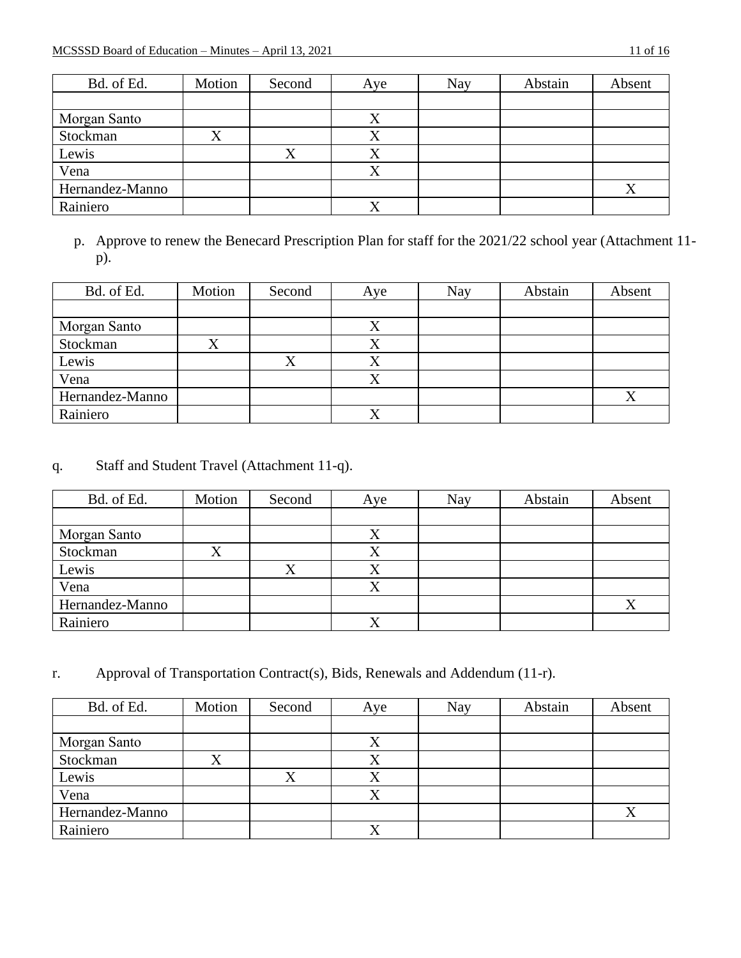| Bd. of Ed.      | Motion | Second    | Aye       | Nay | Abstain | Absent |
|-----------------|--------|-----------|-----------|-----|---------|--------|
|                 |        |           |           |     |         |        |
| Morgan Santo    |        |           |           |     |         |        |
| Stockman        |        |           | Λ         |     |         |        |
| Lewis           |        | $\Lambda$ | $\Lambda$ |     |         |        |
| Vena            |        |           |           |     |         |        |
| Hernandez-Manno |        |           |           |     |         | Χ      |
| Rainiero        |        |           | △         |     |         |        |

p. Approve to renew the Benecard Prescription Plan for staff for the 2021/22 school year (Attachment 11 p).

| Bd. of Ed.      | Motion | Second | Aye       | <b>Nay</b> | Abstain | Absent |
|-----------------|--------|--------|-----------|------------|---------|--------|
|                 |        |        |           |            |         |        |
| Morgan Santo    |        |        |           |            |         |        |
| Stockman        |        |        |           |            |         |        |
| Lewis           |        | △      | $\Lambda$ |            |         |        |
| Vena            |        |        |           |            |         |        |
| Hernandez-Manno |        |        |           |            |         |        |
| Rainiero        |        |        |           |            |         |        |

# q. Staff and Student Travel (Attachment 11-q).

| Bd. of Ed.      | Motion | Second    | Aye          | Nay | Abstain | Absent |
|-----------------|--------|-----------|--------------|-----|---------|--------|
|                 |        |           |              |     |         |        |
| Morgan Santo    |        |           | Λ            |     |         |        |
| Stockman        | л      |           | $\Lambda$    |     |         |        |
| Lewis           |        | $\Lambda$ | $\Lambda$    |     |         |        |
| Vena            |        |           |              |     |         |        |
| Hernandez-Manno |        |           |              |     |         | X      |
| Rainiero        |        |           | $\mathbf{v}$ |     |         |        |

r. Approval of Transportation Contract(s), Bids, Renewals and Addendum (11-r).

| Bd. of Ed.      | Motion | Second | Aye       | Nay | Abstain | Absent           |
|-----------------|--------|--------|-----------|-----|---------|------------------|
|                 |        |        |           |     |         |                  |
| Morgan Santo    |        |        |           |     |         |                  |
| Stockman        | X      |        | △         |     |         |                  |
| Lewis           |        | Δ      | $\Lambda$ |     |         |                  |
| Vena            |        |        |           |     |         |                  |
| Hernandez-Manno |        |        |           |     |         | $\mathbf v$<br>△ |
| Rainiero        |        |        |           |     |         |                  |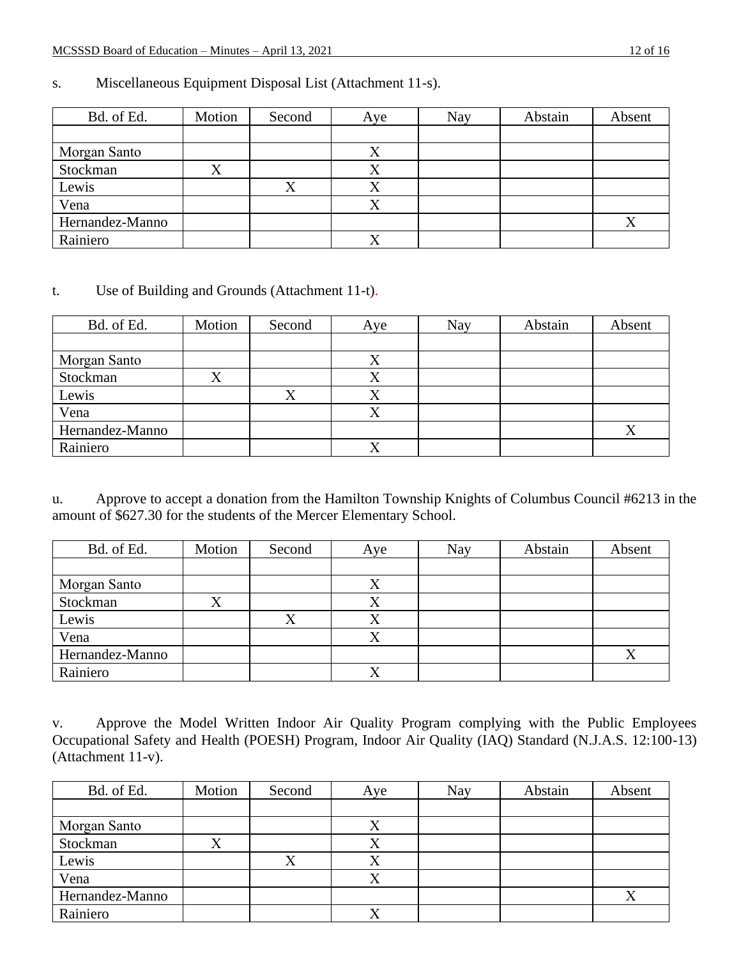| Bd. of Ed.      | Motion | Second | Aye       | <b>Nay</b> | Abstain | Absent |
|-----------------|--------|--------|-----------|------------|---------|--------|
|                 |        |        |           |            |         |        |
| Morgan Santo    |        |        |           |            |         |        |
| Stockman        | △      |        | △         |            |         |        |
| Lewis           |        |        |           |            |         |        |
| Vena            |        |        | $\Lambda$ |            |         |        |
| Hernandez-Manno |        |        |           |            |         |        |
| Rainiero        |        |        |           |            |         |        |

### s. Miscellaneous Equipment Disposal List (Attachment 11-s).

#### t. Use of Building and Grounds (Attachment 11-t).

| Bd. of Ed.      | Motion | Second | Aye       | Nay | Abstain | Absent |
|-----------------|--------|--------|-----------|-----|---------|--------|
|                 |        |        |           |     |         |        |
| Morgan Santo    |        |        |           |     |         |        |
| Stockman        |        |        |           |     |         |        |
| Lewis           |        |        | $\Lambda$ |     |         |        |
| Vena            |        |        |           |     |         |        |
| Hernandez-Manno |        |        |           |     |         |        |
| Rainiero        |        |        |           |     |         |        |

u. Approve to accept a donation from the Hamilton Township Knights of Columbus Council #6213 in the amount of \$627.30 for the students of the Mercer Elementary School.

| Bd. of Ed.      | Motion | Second | Aye       | Nay | Abstain | Absent |
|-----------------|--------|--------|-----------|-----|---------|--------|
|                 |        |        |           |     |         |        |
| Morgan Santo    |        |        | ∡         |     |         |        |
| Stockman        |        |        |           |     |         |        |
| Lewis           |        |        |           |     |         |        |
| Vena            |        |        | $\Lambda$ |     |         |        |
| Hernandez-Manno |        |        |           |     |         |        |
| Rainiero        |        |        |           |     |         |        |

v. Approve the Model Written Indoor Air Quality Program complying with the Public Employees Occupational Safety and Health (POESH) Program, Indoor Air Quality (IAQ) Standard (N.J.A.S. 12:100-13) (Attachment 11-v).

| Bd. of Ed.      | Motion  | Second | Aye       | <b>Nay</b> | Abstain | Absent |
|-----------------|---------|--------|-----------|------------|---------|--------|
|                 |         |        |           |            |         |        |
| Morgan Santo    |         |        |           |            |         |        |
| Stockman        | $\rm X$ |        | $\Lambda$ |            |         |        |
| Lewis           |         |        |           |            |         |        |
| Vena            |         |        |           |            |         |        |
| Hernandez-Manno |         |        |           |            |         | △      |
| Rainiero        |         |        | ∡         |            |         |        |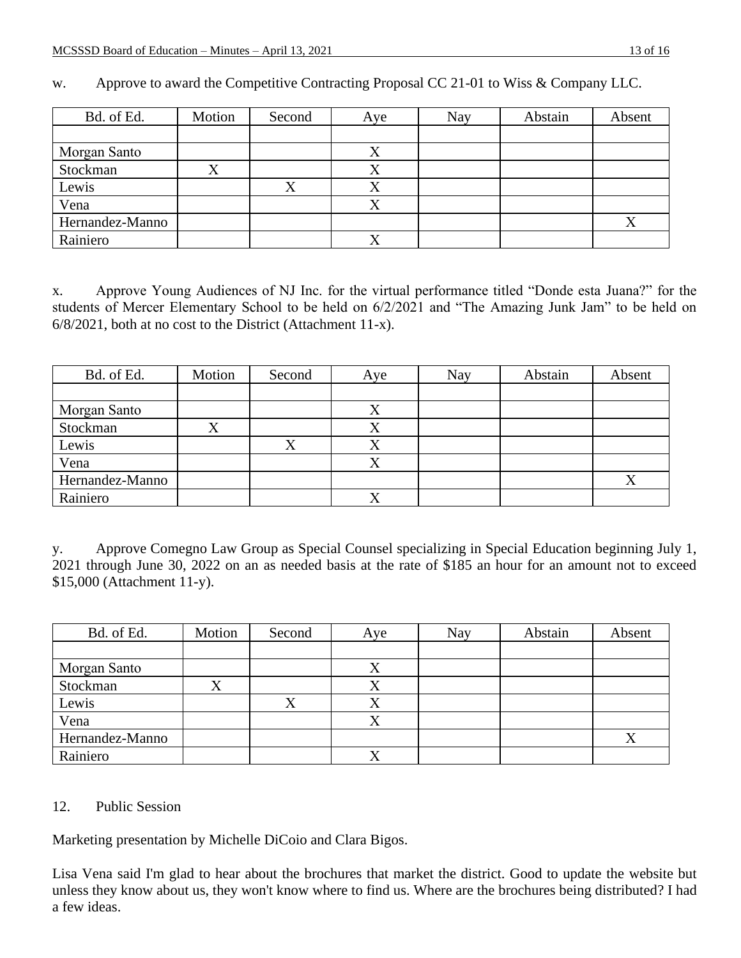| Bd. of Ed.      | Motion | Second | Aye       | <b>Nay</b> | Abstain | Absent |
|-----------------|--------|--------|-----------|------------|---------|--------|
|                 |        |        |           |            |         |        |
| Morgan Santo    |        |        | $\Lambda$ |            |         |        |
| Stockman        |        |        |           |            |         |        |
| Lewis           |        | Χ      |           |            |         |        |
| Vena            |        |        |           |            |         |        |
| Hernandez-Manno |        |        |           |            |         | Λ      |
| Rainiero        |        |        | л         |            |         |        |

w. Approve to award the Competitive Contracting Proposal CC 21-01 to Wiss & Company LLC.

x. Approve Young Audiences of NJ Inc. for the virtual performance titled "Donde esta Juana?" for the students of Mercer Elementary School to be held on 6/2/2021 and "The Amazing Junk Jam" to be held on 6/8/2021, both at no cost to the District (Attachment 11-x).

| Bd. of Ed.      | Motion | Second | Aye       | Nay | Abstain | Absent |
|-----------------|--------|--------|-----------|-----|---------|--------|
|                 |        |        |           |     |         |        |
| Morgan Santo    |        |        |           |     |         |        |
| Stockman        | л      |        | $\Lambda$ |     |         |        |
| Lewis           |        |        |           |     |         |        |
| Vena            |        |        |           |     |         |        |
| Hernandez-Manno |        |        |           |     |         | Χ      |
| Rainiero        |        |        |           |     |         |        |

y. Approve Comegno Law Group as Special Counsel specializing in Special Education beginning July 1, 2021 through June 30, 2022 on an as needed basis at the rate of \$185 an hour for an amount not to exceed \$15,000 (Attachment 11-y).

| Bd. of Ed.      | Motion | Second      | Aye       | Nay | Abstain | Absent                   |
|-----------------|--------|-------------|-----------|-----|---------|--------------------------|
|                 |        |             |           |     |         |                          |
| Morgan Santo    |        |             | Λ         |     |         |                          |
| Stockman        | л      |             |           |     |         |                          |
| Lewis           |        | $\mathbf v$ | Λ         |     |         |                          |
| Vena            |        |             | $\Lambda$ |     |         |                          |
| Hernandez-Manno |        |             |           |     |         | $\mathbf v$<br>$\Lambda$ |
| Rainiero        |        |             |           |     |         |                          |

#### 12. Public Session

Marketing presentation by Michelle DiCoio and Clara Bigos.

Lisa Vena said I'm glad to hear about the brochures that market the district. Good to update the website but unless they know about us, they won't know where to find us. Where are the brochures being distributed? I had a few ideas.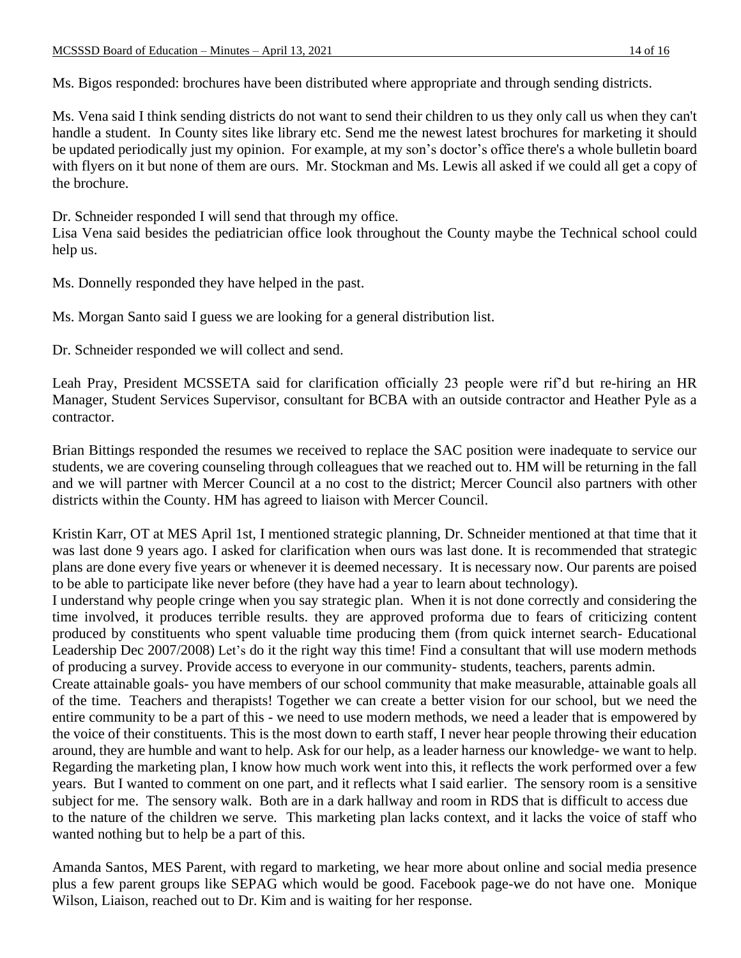Ms. Bigos responded: brochures have been distributed where appropriate and through sending districts.

Ms. Vena said I think sending districts do not want to send their children to us they only call us when they can't handle a student. In County sites like library etc. Send me the newest latest brochures for marketing it should be updated periodically just my opinion. For example, at my son's doctor's office there's a whole bulletin board with flyers on it but none of them are ours. Mr. Stockman and Ms. Lewis all asked if we could all get a copy of the brochure.

Dr. Schneider responded I will send that through my office.

Lisa Vena said besides the pediatrician office look throughout the County maybe the Technical school could help us.

Ms. Donnelly responded they have helped in the past.

Ms. Morgan Santo said I guess we are looking for a general distribution list.

Dr. Schneider responded we will collect and send.

Leah Pray, President MCSSETA said for clarification officially 23 people were rif'd but re-hiring an HR Manager, Student Services Supervisor, consultant for BCBA with an outside contractor and Heather Pyle as a contractor.

Brian Bittings responded the resumes we received to replace the SAC position were inadequate to service our students, we are covering counseling through colleagues that we reached out to. HM will be returning in the fall and we will partner with Mercer Council at a no cost to the district; Mercer Council also partners with other districts within the County. HM has agreed to liaison with Mercer Council.

Kristin Karr, OT at MES April 1st, I mentioned strategic planning, Dr. Schneider mentioned at that time that it was last done 9 years ago. I asked for clarification when ours was last done. It is recommended that strategic plans are done every five years or whenever it is deemed necessary. It is necessary now. Our parents are poised to be able to participate like never before (they have had a year to learn about technology).

I understand why people cringe when you say strategic plan. When it is not done correctly and considering the time involved, it produces terrible results. they are approved proforma due to fears of criticizing content produced by constituents who spent valuable time producing them (from quick internet search- Educational Leadership Dec 2007/2008) Let's do it the right way this time! Find a consultant that will use modern methods of producing a survey. Provide access to everyone in our community- students, teachers, parents admin.

Create attainable goals- you have members of our school community that make measurable, attainable goals all of the time. Teachers and therapists! Together we can create a better vision for our school, but we need the entire community to be a part of this - we need to use modern methods, we need a leader that is empowered by the voice of their constituents. This is the most down to earth staff, I never hear people throwing their education around, they are humble and want to help. Ask for our help, as a leader harness our knowledge- we want to help. Regarding the marketing plan, I know how much work went into this, it reflects the work performed over a few years. But I wanted to comment on one part, and it reflects what I said earlier. The sensory room is a sensitive subject for me. The sensory walk. Both are in a dark hallway and room in RDS that is difficult to access due to the nature of the children we serve. This marketing plan lacks context, and it lacks the voice of staff who wanted nothing but to help be a part of this.

Amanda Santos, MES Parent, with regard to marketing, we hear more about online and social media presence plus a few parent groups like SEPAG which would be good. Facebook page-we do not have one. Monique Wilson, Liaison, reached out to Dr. Kim and is waiting for her response.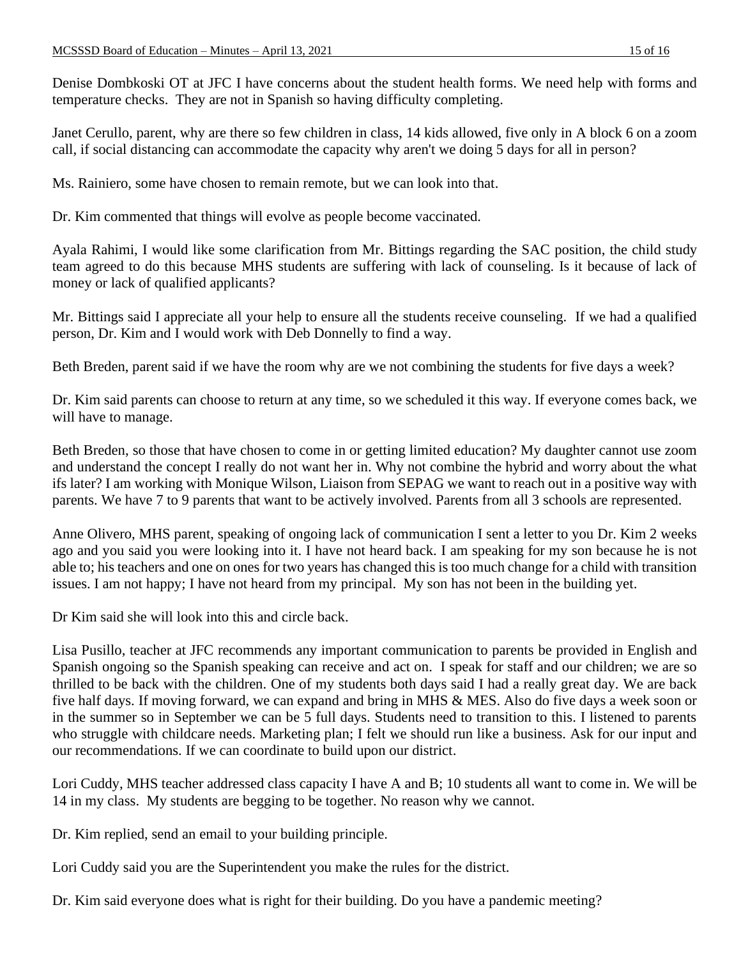Denise Dombkoski OT at JFC I have concerns about the student health forms. We need help with forms and temperature checks. They are not in Spanish so having difficulty completing.

Janet Cerullo, parent, why are there so few children in class, 14 kids allowed, five only in A block 6 on a zoom call, if social distancing can accommodate the capacity why aren't we doing 5 days for all in person?

Ms. Rainiero, some have chosen to remain remote, but we can look into that.

Dr. Kim commented that things will evolve as people become vaccinated.

Ayala Rahimi, I would like some clarification from Mr. Bittings regarding the SAC position, the child study team agreed to do this because MHS students are suffering with lack of counseling. Is it because of lack of money or lack of qualified applicants?

Mr. Bittings said I appreciate all your help to ensure all the students receive counseling. If we had a qualified person, Dr. Kim and I would work with Deb Donnelly to find a way.

Beth Breden, parent said if we have the room why are we not combining the students for five days a week?

Dr. Kim said parents can choose to return at any time, so we scheduled it this way. If everyone comes back, we will have to manage.

Beth Breden, so those that have chosen to come in or getting limited education? My daughter cannot use zoom and understand the concept I really do not want her in. Why not combine the hybrid and worry about the what ifs later? I am working with Monique Wilson, Liaison from SEPAG we want to reach out in a positive way with parents. We have 7 to 9 parents that want to be actively involved. Parents from all 3 schools are represented.

Anne Olivero, MHS parent, speaking of ongoing lack of communication I sent a letter to you Dr. Kim 2 weeks ago and you said you were looking into it. I have not heard back. I am speaking for my son because he is not able to; his teachers and one on ones for two years has changed this is too much change for a child with transition issues. I am not happy; I have not heard from my principal. My son has not been in the building yet.

Dr Kim said she will look into this and circle back.

Lisa Pusillo, teacher at JFC recommends any important communication to parents be provided in English and Spanish ongoing so the Spanish speaking can receive and act on. I speak for staff and our children; we are so thrilled to be back with the children. One of my students both days said I had a really great day. We are back five half days. If moving forward, we can expand and bring in MHS & MES. Also do five days a week soon or in the summer so in September we can be 5 full days. Students need to transition to this. I listened to parents who struggle with childcare needs. Marketing plan; I felt we should run like a business. Ask for our input and our recommendations. If we can coordinate to build upon our district.

Lori Cuddy, MHS teacher addressed class capacity I have A and B; 10 students all want to come in. We will be 14 in my class. My students are begging to be together. No reason why we cannot.

Dr. Kim replied, send an email to your building principle.

Lori Cuddy said you are the Superintendent you make the rules for the district.

Dr. Kim said everyone does what is right for their building. Do you have a pandemic meeting?